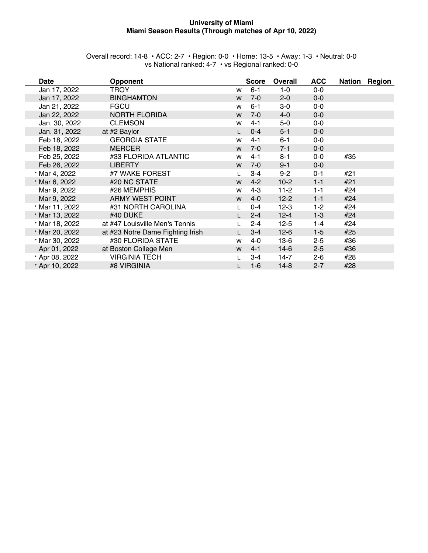#### **University of Miami Miami Season Results (Through matches of Apr 10, 2022)**

| Overall record: 14-8 $\cdot$ ACC: 2-7 $\cdot$ Region: 0-0 $\cdot$ Home: 13-5 $\cdot$ Away: 1-3 $\cdot$ Neutral: 0-0 |  |  |
|---------------------------------------------------------------------------------------------------------------------|--|--|
| vs National ranked: 4-7 · vs Regional ranked: 0-0                                                                   |  |  |

| <b>Date</b>    | <b>Opponent</b>                  |   | <b>Score</b> | <b>Overall</b> | <b>ACC</b> | Nation | Region |
|----------------|----------------------------------|---|--------------|----------------|------------|--------|--------|
| Jan 17, 2022   | TROY                             | W | $6 - 1$      | $1-0$          | $0-0$      |        |        |
| Jan 17, 2022   | <b>BINGHAMTON</b>                | W | $7 - 0$      | $2 - 0$        | $0-0$      |        |        |
| Jan 21, 2022   | <b>FGCU</b>                      | W | $6 - 1$      | $3-0$          | $0-0$      |        |        |
| Jan 22, 2022   | <b>NORTH FLORIDA</b>             | W | $7-0$        | $4-0$          | $0-0$      |        |        |
| Jan. 30, 2022  | <b>CLEMSON</b>                   | W | $4 - 1$      | $5-0$          | $0-0$      |        |        |
| Jan. 31, 2022  | at #2 Baylor                     |   | $0 - 4$      | $5 - 1$        | $0-0$      |        |        |
| Feb 18, 2022   | <b>GEORGIA STATE</b>             | W | $4 - 1$      | $6 - 1$        | $0-0$      |        |        |
| Feb 18, 2022   | <b>MERCER</b>                    | W | $7-0$        | $7 - 1$        | $0-0$      |        |        |
| Feb 25, 2022   | #33 FLORIDA ATLANTIC             | W | $4 - 1$      | $8 - 1$        | $0-0$      | #35    |        |
| Feb 26, 2022   | <b>LIBERTY</b>                   | W | $7-0$        | $9 - 1$        | $0-0$      |        |        |
| * Mar 4, 2022  | #7 WAKE FOREST                   |   | $3 - 4$      | $9 - 2$        | $0 - 1$    | #21    |        |
| * Mar 6, 2022  | #20 NC STATE                     | W | $4 - 2$      | $10-2$         | $1 - 1$    | #21    |        |
| Mar 9, 2022    | #26 MEMPHIS                      | W | $4 - 3$      | $11-2$         | $1 - 1$    | #24    |        |
| Mar 9, 2022    | ARMY WEST POINT                  | W | $4 - 0$      | $12 - 2$       | $1 - 1$    | #24    |        |
| * Mar 11, 2022 | #31 NORTH CAROLINA               |   | $0 - 4$      | $12-3$         | $1 - 2$    | #24    |        |
| * Mar 13, 2022 | #40 DUKE                         |   | $2 - 4$      | $12 - 4$       | $1 - 3$    | #24    |        |
| * Mar 18, 2022 | at #47 Louisville Men's Tennis   |   | $2 - 4$      | $12 - 5$       | 1-4        | #24    |        |
| * Mar 20, 2022 | at #23 Notre Dame Fighting Irish |   | $3 - 4$      | $12-6$         | $1 - 5$    | #25    |        |
| * Mar 30, 2022 | #30 FLORIDA STATE                | W | 4-0          | $13-6$         | $2 - 5$    | #36    |        |
| Apr 01, 2022   | at Boston College Men            | W | $4 - 1$      | $14-6$         | $2 - 5$    | #36    |        |
| * Apr 08, 2022 | <b>VIRGINIA TECH</b>             |   | $3 - 4$      | $14-7$         | $2 - 6$    | #28    |        |
| * Apr 10, 2022 | #8 VIRGINIA                      |   | $1 - 6$      | $14-8$         | $2 - 7$    | #28    |        |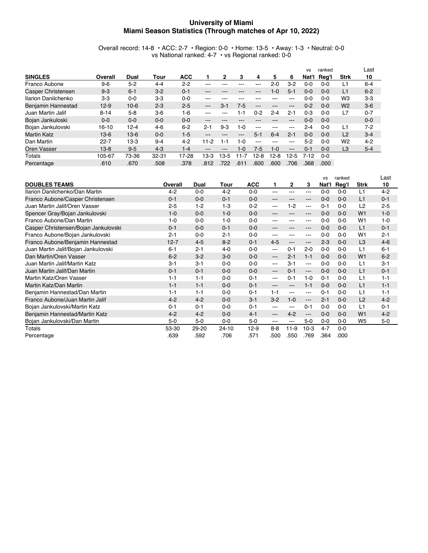#### **University of Miami Miami Season Statistics (Through matches of Apr 10, 2022)**

Overall record: 14-8 • ACC: 2-7 • Region: 0-0 • Home: 13-5 • Away: 1-3 • Neutral: 0-0 vs National ranked: 4-7 • vs Regional ranked: 0-0

|                     |          |          |         |            |                   |       |         |          |          |          | <b>VS</b> | ranked  |                | Last    |
|---------------------|----------|----------|---------|------------|-------------------|-------|---------|----------|----------|----------|-----------|---------|----------------|---------|
| <b>SINGLES</b>      | Overall  | Dual     | Tour    | <b>ACC</b> |                   | 2     | 3       | 4        | 5        | 6        | Nat'l     | Reg'l   | <b>Strk</b>    | 10      |
| Franco Aubone       | $9 - 6$  | $5 - 2$  | $4 - 4$ | $2 - 2$    | ---               |       |         | ---      | 2-0      | $3-2$    | $0 - 0$   | $0 - 0$ | L1             | $6 - 4$ |
| Casper Christensen  | $9 - 3$  | $6 - 1$  | $3-2$   | $0 - 1$    | ---               | ---   | ---     | ---      | $1 - 0$  | $5-1$    | $0 - 0$   | $0 - 0$ | L <sub>1</sub> | $6 - 2$ |
| Ilarion Danilchenko | $3-3$    | $0 - 0$  | $3-3$   | $0 - 0$    | ---               | ---   |         |          | ---      | ---      | 0-0       | $0 - 0$ | W <sub>3</sub> | $3-3$   |
| Benjamin Hannestad  | $12 - 9$ | $10 - 6$ | $2 - 3$ | $2 - 5$    | $\qquad \qquad -$ | $3-1$ | $7-5$   | ---      | ---      | ---      | $0 - 2$   | $0 - 0$ | W <sub>2</sub> | $3-6$   |
| Juan Martin Jalif   | $8 - 14$ | $5-8$    | $3-6$   | $1 - 6$    | ---               | ---   | $1 - 1$ | $0 - 2$  | $2 - 4$  | $2 - 1$  | $0 - 3$   | 0-0     | L7             | $0 - 7$ |
| Bojan Jankuloski    | $0 - 0$  | $0 - 0$  | $0 - 0$ | $0 - 0$    | ---               | ---   |         |          | ---      | ---      | $0 - 0$   | $0 - 0$ |                | $0 - 0$ |
| Bojan Jankulovski   | 16-10    | $12 - 4$ | $4-6$   | $6 - 2$    | $2 - 1$           | $9-3$ | 1-0     | ---      | ---      | ---      | 2-4       | $0 - 0$ | L1             | $7 - 2$ |
| Martin Katz         | $13-6$   | $13-6$   | $0 - 0$ | $1-5$      | ---               | ---   | ---     | $5-1$    | $6 - 4$  | $2 - 1$  | $0 - 0$   | $0 - 0$ | L2             | $3 - 4$ |
| Dan Martin          | $22 - 7$ | $13-3$   | $9 - 4$ | $4 - 2$    | $11 - 2$          | 1-1   | $1 - 0$ | ---      | ---      | ---      | $5-2$     | $0 - 0$ | W <sub>2</sub> | $4 - 2$ |
| Oren Vasser         | $13 - 8$ | $9-5$    | $4-3$   | $1 - 4$    | ---               | ---   | $1 - 0$ | 7-5      | $1 - 0$  | $\cdots$ | $0 - 1$   | $0 - 0$ | L <sub>3</sub> | $5 - 4$ |
| Totals              | 105-67   | 73-36    | 32-31   | 17-28      | $13-3$            | 13-5  | $1 - 7$ | $12 - 8$ | $12 - 8$ | $12-5$   | $7 - 12$  | $0 - 0$ |                |         |
| Percentage          | .610     | .670     | .508    | .378       | .812              | 722   | .61     | .600     | .600     | .706     | .368      | .000    |                |         |

|                                      |          |         |           |            |                        |                        |         | <b>VS</b> | ranked  |                | Last    |
|--------------------------------------|----------|---------|-----------|------------|------------------------|------------------------|---------|-----------|---------|----------------|---------|
| <b>DOUBLES TEAMS</b>                 | Overall  | Dual    | Tour      | <b>ACC</b> | 1                      | $\mathbf{2}$           | 3       | Nat'l     | Reg'l   | <b>Strk</b>    | 10      |
| Ilarion Danilchenko/Dan Martin       | $4 - 2$  | $0 - 0$ | $4 - 2$   | $0 - 0$    | $---$                  | ---                    | ---     | $0 - 0$   | $0 - 0$ | L1             | $4 - 2$ |
| Franco Aubone/Casper Christensen     | $0 - 1$  | $0 - 0$ | $0 - 1$   | $0-0$      | $---$                  | ---                    | ---     | $0 - 0$   | $0 - 0$ | L1             | $0 - 1$ |
| Juan Martin Jalif/Oren Vasser        | $2 - 5$  | $1 - 2$ | $1-3$     | $0 - 2$    | $---$                  | $1 - 2$                | ---     | $0 - 1$   | $0 - 0$ | L <sub>2</sub> | $2 - 5$ |
| Spencer Gray/Bojan Jankulovski       | $1 - 0$  | $0-0$   | $1 - 0$   | $0-0$      | $\qquad \qquad -$      | ---                    | ---     | $0-0$     | $0 - 0$ | W <sub>1</sub> | $1 - 0$ |
| Franco Aubone/Dan Martin             | $1 - 0$  | $0 - 0$ | $1 - 0$   | $0 - 0$    | $---$                  | ---                    | ---     | $0 - 0$   | $0 - 0$ | W <sub>1</sub> | $1 - 0$ |
| Casper Christensen/Bojan Jankulovski | $0 - 1$  | $0-0$   | $0 - 1$   | $0 - 0$    | $- - -$                | ---                    | ---     | $0 - 0$   | $0 - 0$ | L1             | $0 - 1$ |
| Franco Aubone/Bojan Jankulovski      | $2 - 1$  | $0-0$   | $2 - 1$   | $0-0$      | $--$                   | ---                    | ---     | $0 - 0$   | $0 - 0$ | W1             | $2 - 1$ |
| Franco Aubone/Benjamin Hannestad     | $12 - 7$ | $4-5$   | $8 - 2$   | $0 - 1$    | $4-5$                  | $\qquad \qquad -$      | ---     | $2 - 3$   | $0 - 0$ | L <sub>3</sub> | $4-6$   |
| Juan Martin Jalif/Bojan Jankulovski  | $6 - 1$  | $2 - 1$ | $4 - 0$   | $0-0$      | $\qquad \qquad \cdots$ | $0 - 1$                | $2 - 0$ | $0 - 0$   | $0 - 0$ | L1             | $6 - 1$ |
| Dan Martin/Oren Vasser               | $6 - 2$  | $3-2$   | $3-0$     | $0 - 0$    | $---$                  | $2 - 1$                | $1 - 1$ | $0 - 0$   | $0 - 0$ | W <sub>1</sub> | $6-2$   |
| Juan Martin Jalif/Martin Katz        | $3 - 1$  | $3 - 1$ | $0-0$     | $0-0$      | $--$                   | $3 - 1$                | ---     | $0-0$     | $0 - 0$ | L1             | $3-1$   |
| Juan Martin Jalif/Dan Martin         | $0 - 1$  | $0 - 1$ | $0 - 0$   | $0 - 0$    | $\qquad \qquad -$      | $0 - 1$                | ---     | $0 - 0$   | $0 - 0$ | L1             | $0 - 1$ |
| Martin Katz/Oren Vasser              | $1 - 1$  | $1 - 1$ | $0-0$     | $0 - 1$    | $---$                  | $0 - 1$                | $1 - 0$ | $0 - 1$   | $0 - 0$ | L1             | $1 - 1$ |
| Martin Katz/Dan Martin               | $1 - 1$  | $1 - 1$ | $0 - 0$   | $0 - 1$    | $---$                  | $\qquad \qquad \cdots$ | $1 - 1$ | $0 - 0$   | $0 - 0$ | L1             | $1 - 1$ |
| Benjamin Hannestad/Dan Martin        | $1 - 1$  | $1 - 1$ | $0 - 0$   | $0 - 1$    | $1 - 1$                | $--$                   | ---     | $0 - 1$   | $0 - 0$ | L <sub>1</sub> | $1 - 1$ |
| Franco Aubone/Juan Martin Jalif      | $4 - 2$  | $4 - 2$ | $0 - 0$   | $3-1$      | $3-2$                  | $1 - 0$                | ---     | $2 - 1$   | $0 - 0$ | L2             | $4 - 2$ |
| Bojan Jankulovski/Martin Katz        | $0 - 1$  | $0 - 1$ | $0-0$     | $0 - 1$    | $--$                   | ---                    | $0 - 1$ | $0 - 0$   | $0 - 0$ | L1             | $0 - 1$ |
| Benjamin Hannestad/Martin Katz       | $4 - 2$  | $4 - 2$ | $0 - 0$   | $4 - 1$    | $---$                  | $4 - 2$                | ---     | $0 - 0$   | $0 - 0$ | W <sub>1</sub> | $4 - 2$ |
| Bojan Jankulovski/Dan Martin         | $5-0$    | $5-0$   | $0-0$     | $5-0$      | $\frac{1}{2}$          | $\frac{1}{2}$          | $5-0$   | $0-0$     | $0 - 0$ | W <sub>5</sub> | $5-0$   |
| Totals                               | 53-30    | 29-20   | $24 - 10$ | $12-9$     | $8 - 8$                | $11-9$                 | $10-3$  | $4 - 7$   | $0 - 0$ |                |         |
| Percentage                           | .639     | .592    | .706      | .571       | .500                   | 550                    | .769    | .364      | .000    |                |         |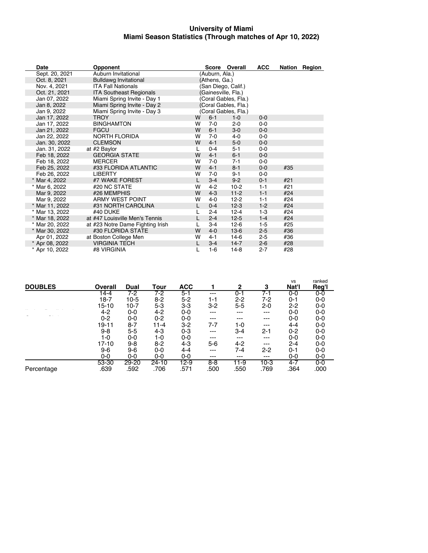#### **University of Miami Miami Season Statistics (Through matches of Apr 10, 2022)**

| Date           | <b>Opponent</b>                  |   |                | Score Overall        | <b>ACC</b> |     | Nation Region |
|----------------|----------------------------------|---|----------------|----------------------|------------|-----|---------------|
| Sept. 20, 2021 | Auburn Invitational              |   | (Auburn, Ala.) |                      |            |     |               |
| Oct. 8, 2021   | <b>Bulldawg Invitational</b>     |   | (Athens, Ga.)  |                      |            |     |               |
| Nov. 4, 2021   | <b>ITA Fall Nationals</b>        |   |                | (San Diego, Calif.)  |            |     |               |
| Oct. 21, 2021  | <b>ITA Southeast Regionals</b>   |   |                | (Gainesville, Fla.)  |            |     |               |
| Jan 07, 2022   | Miami Spring Invite - Day 1      |   |                | (Coral Gables, Fla.) |            |     |               |
| Jan 8, 2022    | Miami Spring Invite - Day 2      |   |                | (Coral Gables, Fla.) |            |     |               |
| Jan 9, 2022    | Miami Spring Invite - Day 3      |   |                | (Coral Gables, Fla.) |            |     |               |
| Jan 17, 2022   | <b>TROY</b>                      | w | $6 - 1$        | $1 - 0$              | $0 - 0$    |     |               |
| Jan 17, 2022   | <b>BINGHAMTON</b>                | w | $7 - 0$        | $2 - 0$              | $0 - 0$    |     |               |
| Jan 21, 2022   | <b>FGCU</b>                      | W | $6 - 1$        | $3-0$                | $0 - 0$    |     |               |
| Jan 22, 2022   | <b>NORTH FLORIDA</b>             | w | $7 - 0$        | 4-0                  | $0 - 0$    |     |               |
| Jan. 30, 2022  | <b>CLEMSON</b>                   | W | $4 - 1$        | $5-0$                | $0 - 0$    |     |               |
| Jan. 31, 2022  | at #2 Baylor                     | L | $0 - 4$        | $5-1$                | $0 - 0$    |     |               |
| Feb 18, 2022   | <b>GEORGIA STATE</b>             | W | $4 - 1$        | $6-1$                | $0 - 0$    |     |               |
| Feb 18, 2022   | <b>MERCER</b>                    | W | $7 - 0$        | $7 - 1$              | $0 - 0$    |     |               |
| Feb 25, 2022   | #33 FLORIDA ATLANTIC             | W | $4 - 1$        | $8-1$                | $0 - 0$    | #35 |               |
| Feb 26, 2022   | <b>LIBERTY</b>                   | w | $7-0$          | $9 - 1$              | $0 - 0$    |     |               |
| * Mar 4, 2022  | #7 WAKE FOREST                   | L | $3-4$          | $9 - 2$              | $0 - 1$    | #21 |               |
| * Mar 6, 2022  | #20 NC STATE                     | W | $4 - 2$        | $10-2$               | $1 - 1$    | #21 |               |
| Mar 9, 2022    | #26 MEMPHIS                      | W | $4 - 3$        | $11 - 2$             | $1 - 1$    | #24 |               |
| Mar 9, 2022    | <b>ARMY WEST POINT</b>           | w | $4 - 0$        | $12 - 2$             | $1 - 1$    | #24 |               |
| * Mar 11, 2022 | #31 NORTH CAROLINA               | L | $0 - 4$        | $12-3$               | $1 - 2$    | #24 |               |
| * Mar 13, 2022 | #40 DUKE                         |   | $2 - 4$        | $12 - 4$             | $1-3$      | #24 |               |
| * Mar 18, 2022 | at #47 Louisville Men's Tennis   |   | $2 - 4$        | $12 - 5$             | $1 - 4$    | #24 |               |
| * Mar 20, 2022 | at #23 Notre Dame Fighting Irish |   | $3-4$          | $12-6$               | $1-5$      | #25 |               |
| * Mar 30, 2022 | #30 FLORIDA STATE                | W | $4 - 0$        | $13-6$               | $2 - 5$    | #36 |               |
| Apr 01, 2022   | at Boston College Men            | W | $4 - 1$        | 14-6                 | $2 - 5$    | #36 |               |
| * Apr 08, 2022 | <b>VIRGINIA TECH</b>             |   | $3-4$          | $14 - 7$             | $2 - 6$    | #28 |               |
| * Apr 10, 2022 | #8 VIRGINIA                      |   | $1-6$          | $14 - 8$             | $2 - 7$    | #28 |               |

| <b>DOUBLES</b> | Overall   | Dual      | Tour    | <b>ACC</b> |         | 2       | 3       | <b>VS</b><br>Nat'l | ranked<br>Reg'l |
|----------------|-----------|-----------|---------|------------|---------|---------|---------|--------------------|-----------------|
|                | 14-4      | $7 - 2$   | 7-2     | $5 - 1$    | ---     | $0 - 1$ | $7-1$   | $0 - 0$            | $0-0$           |
|                | $18-7$    | $10-5$    | $8-2$   | $5 - 2$    | 1-1     | $2 - 2$ | 7-2     | 0-1                | 0-0             |
|                | 15-10     | $10-7$    | $5 - 3$ | $3-3$      | $3-2$   | $5 - 5$ | $2 - 0$ | $2 - 2$            | 0-0             |
|                | $4 - 2$   | $0-0$     | $4 - 2$ | $0-0$      | ---     | ---     | ---     | $0-0$              | 0-0             |
|                | $0 - 2$   | $0-0$     | $0 - 2$ | $0-0$      | ---     | ---     | ---     | 0-0                | 0-0             |
|                | 19-11     | $8 - 7$   | 11-4    | $3-2$      | 7-7     | 1-0     | ---     | $4 - 4$            | 0-0             |
|                | $9 - 8$   | $5 - 5$   | 4-3     | $0 - 3$    | ---     | $3 - 4$ | $2 - 1$ | $0 - 2$            | 0-0             |
|                | 1-0       | $0-0$     | 1-0     | $0-0$      | $---$   | ---     | ---     | $0-0$              | 0-0             |
|                | $17 - 10$ | $9 - 8$   | $8-2$   | 4-3        | $5-6$   | $4 - 2$ | $---$   | $2 - 4$            | 0-0             |
|                | $9 - 6$   | $9 - 6$   | $0-0$   | $4 - 4$    | ---     | 7-4     | $2 - 2$ | $0 - 1$            | 0-0             |
|                | $0-0$     | $0 - 0$   | 0-0     | $0 - 0$    | ---     | ---     | ---     | 0-0                | 0-0             |
|                | 53-30     | $29 - 20$ | 24-10   | $12-9$     | $8 - 8$ | 11-9    | $10-3$  | 4-7                | $0-0$           |
| Percentage     | .639      | .592      | .706    | .571       | .500    | .550    | .769    | .364               | .000            |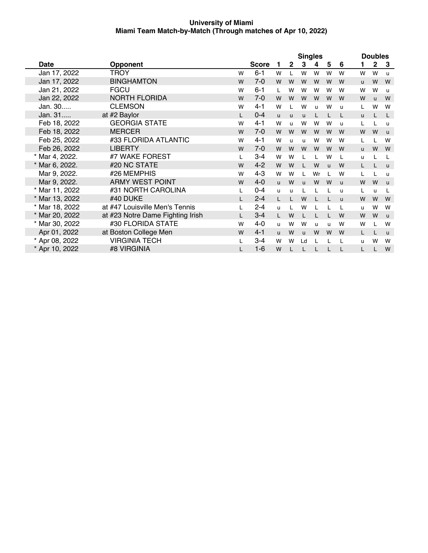|                |                                  |   |              | <b>Singles</b> |              |              |    |              |   | <b>Doubles</b> |              |              |  |
|----------------|----------------------------------|---|--------------|----------------|--------------|--------------|----|--------------|---|----------------|--------------|--------------|--|
| <b>Date</b>    | <b>Opponent</b>                  |   | <b>Score</b> | 1              | $\mathbf{2}$ | 3            | 4  | 5            | 6 | 1              | $\mathbf 2$  | 3            |  |
| Jan 17, 2022   | TROY                             | W | $6 - 1$      | W              | L            | W            | W  | W            | W | W              | W            | $\mathbf{u}$ |  |
| Jan 17, 2022   | <b>BINGHAMTON</b>                | W | $7-0$        | W              | W            | W            | W  | W            | W | u              | W            | W            |  |
| Jan 21, 2022   | <b>FGCU</b>                      | W | $6 - 1$      | $\mathbf{L}$   | W            | W            | W  | W            | W | W              | W            | u            |  |
| Jan 22, 2022   | <b>NORTH FLORIDA</b>             | W | $7-0$        | W              | W            | W            | W  | W            | W | W              | $\mathbf{u}$ | W            |  |
| Jan. 30        | <b>CLEMSON</b>                   | W | $4 - 1$      | W              | L            | W            | u  | W            | u | L              | W            | W            |  |
| Jan. 31        | at #2 Baylor                     | L | $0 - 4$      | <b>u</b>       | u            | u            |    |              |   | u              |              | L            |  |
| Feb 18, 2022   | <b>GEORGIA STATE</b>             | W | $4 - 1$      | W              | $\mathsf{u}$ | W            | W  | W            | u | L              |              | u            |  |
| Feb 18, 2022   | <b>MERCER</b>                    | W | $7 - 0$      | W              | W            | W            | W  | W            | W | W              | W            | $\mathsf{u}$ |  |
| Feb 25, 2022   | #33 FLORIDA ATLANTIC             | W | $4 - 1$      | W              | u            | u            | W  | W            | W | L              |              | W            |  |
| Feb 26, 2022   | <b>LIBERTY</b>                   | W | $7-0$        | W              | W            | W            | W  | W            | W | <b>u</b>       | W            | W            |  |
| * Mar 4, 2022. | #7 WAKE FOREST                   |   | $3 - 4$      | W              | W            |              |    | W            |   | u              |              |              |  |
| * Mar 6, 2022. | #20 NC STATE                     | W | $4 - 2$      | W              | W            |              | W  | $\mathbf{u}$ | W | L.             |              | $\mathsf{u}$ |  |
| Mar 9, 2022.   | #26 MEMPHIS                      | W | $4 - 3$      | W              | W            |              | Wr |              | W | L              |              | u            |  |
| Mar 9, 2022.   | <b>ARMY WEST POINT</b>           | W | $4 - 0$      | $\mathsf{u}$   | W            | $\mathbf{u}$ | W  | W            | u | W              | W            | $\mathsf{u}$ |  |
| * Mar 11, 2022 | #31 NORTH CAROLINA               | L | $0 - 4$      | $\mathbf{u}$   | u            |              |    |              | u | L              | u.           |              |  |
| * Mar 13, 2022 | #40 DUKE                         |   | $2 - 4$      | L              | $\mathbf{L}$ | W            |    |              | u | W              | W            | W            |  |
| * Mar 18, 2022 | at #47 Louisville Men's Tennis   |   | $2 - 4$      | <b>u</b>       | L            | W            |    |              |   | u              | W            | W            |  |
| * Mar 20, 2022 | at #23 Notre Dame Fighting Irish |   | $3 - 4$      | L              | W            |              |    |              | W | W              | W            | $\mathsf{u}$ |  |
| * Mar 30, 2022 | #30 FLORIDA STATE                | W | $4 - 0$      | u              | W            | W            | u  | u            | W | W              |              | W            |  |
| Apr 01, 2022   | at Boston College Men            | W | $4 - 1$      | u              | W            | u            | W  | W            | W | L              |              | $\mathbf{u}$ |  |
| * Apr 08, 2022 | <b>VIRGINIA TECH</b>             |   | $3 - 4$      | W              | w            | Ld           |    |              |   | u              | W            | W            |  |
| * Apr 10, 2022 | #8 VIRGINIA                      | L | $1 - 6$      | W              |              |              |    |              |   | L              |              | W            |  |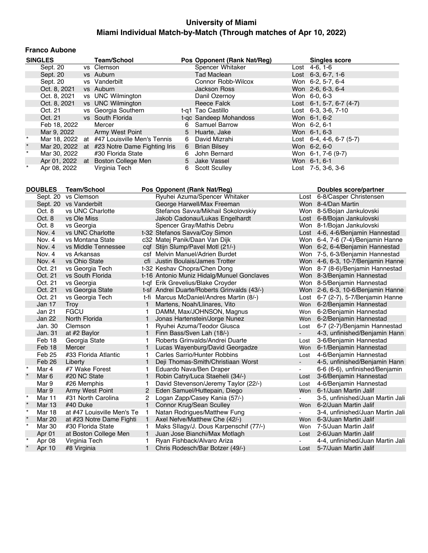#### **Franco Aubone**

|          | <b>SINGLES</b> | <b>Team/School</b>                           |    | Pos Opponent (Rank Nat/Reg) | <b>Singles score</b>               |
|----------|----------------|----------------------------------------------|----|-----------------------------|------------------------------------|
|          | Sept. 20       | vs Clemson                                   |    | Spencer Whitaker            | Lost 4-6, 1-6                      |
|          | Sept. 20       | vs Auburn                                    |    | <b>Tad Maclean</b>          | Lost $6-3, 6-7, 1-6$               |
|          | Sept. 20       | vs Vanderbilt                                |    | Connor Robb-Wilcox          | Won 6-2, 5-7, 6-4                  |
|          | Oct. 8, 2021   | vs Auburn                                    |    | <b>Jackson Ross</b>         | Won 2-6, 6-3, 6-4                  |
|          | Oct. 8, 2021   | vs UNC Wilmington                            |    | Danil Ozernov               | Won 6-0, 6-3                       |
|          | Oct. 8, 2021   | vs UNC Wilmington                            |    | Reece Falck                 | Lost $6-1$ , 5-7, $6-7$ (4-7)      |
|          | Oct. 21        | vs Georgia Southern                          |    | t-g1 Tao Castillo           | Lost 6-3, 3-6, 7-10                |
|          | Oct. 21        | vs South Florida                             |    | t-gc Sandeep Mohandoss      | Won 6-1, 6-2                       |
|          | Feb 18, 2022   | Mercer                                       | 6  | Samuel Barrow               | Won 6-2, 6-1                       |
|          |                | Mar 9, 2022 Army West Point                  |    | 5 Huarte, Jake              | Won 6-1, 6-3                       |
| $^\star$ |                | Mar 18, 2022 at #47 Louisville Men's Tennis  |    | 6 David Mizrahi             | Lost $6-4$ , $4-6$ , $6-7$ $(5-7)$ |
| $\star$  |                | Mar 20, 2022 at #23 Notre Dame Fighting Iris |    | 6 Brian Bilsey              | Won 6-2, 6-0                       |
| $\star$  | Mar 30, 2022   | #30 Florida State                            | 6  | John Bernard                | Won 6-1, 7-6 (9-7)                 |
|          |                | Apr 01, 2022 at Boston College Men           |    | 5 Jake Vassel               | Won 6-1, 6-1                       |
| $\star$  | Apr 08, 2022   | Virginia Tech                                | 6. | <b>Scott Sculley</b>        | Lost 7-5, 3-6, 3-6                 |

|         | <b>DOUBLES</b>    | <b>Team/School</b>         |                | Pos Opponent (Rank Nat/Reg)                 |                | Doubles score/partner              |
|---------|-------------------|----------------------------|----------------|---------------------------------------------|----------------|------------------------------------|
|         | Sept. 20          | vs Clemson                 |                | Ryuhei Azuma/Spencer Whitaker               | Lost           | 6-8/Casper Christensen             |
|         | Sept. 20          | vs Vanderbilt              |                | George Harwell/Max Freeman                  |                | Won 8-4/Dan Martin                 |
|         | Oct. 8            | vs UNC Charlotte           |                | Stefanos Savva/Mikhail Sokolovskiy          |                | Won 8-5/Bojan Jankulovski          |
|         | Oct. 8            | vs Ole Miss                |                | Jakob Cadonau/Lukas Engelhardt              |                | Lost 6-8/Bojan Jankulovski         |
|         | Oct. 8            | vs Georgia                 |                | Spencer Gray/Mathis Debru                   |                | Won 8-1/Bojan Jankulovski          |
|         | Nov. 4            | vs UNC Charlotte           |                | t-32 Stefanos Savva/Coy Simon               |                | Lost 4-6, 4-6/Benjamin Hannestad   |
|         | Nov. 4            | vs Montana State           |                | c32 Matej Panik/Daan Van Dijk               |                | Won 6-4, 7-6 (7-4)/Benjamin Hanne  |
|         | Nov. 4            | vs Middle Tennessee        |                | cqf Stijn Slump/Pavel Motl (21/-)           |                | Won 6-2, 6-4/Benjamin Hannestad    |
|         | Nov. 4            | vs Arkansas                |                | csf Melvin Manuel/Adrien Burdet             |                | Won 7-5, 6-3/Benjamin Hannestad    |
|         | Nov. 4            | vs Ohio State              |                | cfi Justin Boulais/James Trotter            |                | Won 4-6, 6-3, 10-7/Benjamin Hanne  |
|         | Oct. 21           | vs Georgia Tech            |                | t-32 Keshav Chopra/Chen Dong                |                | Won 8-7 (8-6)/Benjamin Hannestad   |
|         | Oct. 21           | vs South Florida           |                | t-16 Antonio Muniz Hidalg/Munuel Gonclaves  |                | Won 8-3/Benjamin Hannestad         |
|         | Oct. 21           | vs Georgia                 |                | t-qf Erik Grevelius/Blake Croyder           |                | Won 8-5/Benjamin Hannestad         |
|         | Oct. 21           | vs Georgia State           |                | t-sf Andrei Duarte/Roberts Grinvalds (43/-) |                | Won 2-6, 6-3, 10-6/Benjamin Hanne  |
|         | Oct. 21           | vs Georgia Tech            | t-fi           | Marcus McDaniel/Andres Martin (8/-)         |                | Lost 6-7 (2-7), 5-7/Benjamin Hanne |
|         | Jan 17            | Troy                       | $\mathbf{1}$   | Martens, Noah/Llinares, Vito                |                | Won 6-2/Benjamin Hannestad         |
|         | Jan 21            | <b>FGCU</b>                |                | DAMM, Max/JOHNSON, Magnus                   | Won            | 6-2/Benjamin Hannestad             |
|         | Jan 22            | North Florida              | $\mathbf{1}$   | Jonas Hartenstein/Jorge Nunez               |                | Won 6-2/Benjamin Hannestad         |
|         | Jan. 30           | Clemson                    |                | Ryuhei Azuma/Teodor Giusca                  | Lost           | 6-7 (2-7)/Benjamin Hannestad       |
|         | Jan. 31           | at #2 Baylor               | $\mathbf{1}$   | Finn Bass/Sven Lah (18/-)                   | $\blacksquare$ | 4-3, unfinished/Benjamin Hann      |
|         | Feb 18            | Georgia State              | 1              | Roberts Grinvalds/Andrei Duarte             | Lost           | 3-6/Benjamin Hannestad             |
|         | Feb 18            | Mercer                     |                | Lucas Wayenburg/David Georgadze             | <b>Won</b>     | 6-1/Benjamin Hannestad             |
|         | Feb <sub>25</sub> | #33 Florida Atlantic       | 1              | <b>Carles Sarrio/Hunter Robbins</b>         | Lost           | 4-6/Benjamin Hannestad             |
|         | Feb 26            | Liberty                    | $\mathbf{1}$   | Deji Thomas-Smith/Christiaan Worst          | $\blacksquare$ | 4-5, unfinished/Benjamin Hann      |
| $\star$ | Mar 4             | #7 Wake Forest             | 1              | Eduardo Nava/Ben Draper                     |                | 6-6 (6-6), unfinished/Benjamin     |
|         | Mar <sub>6</sub>  | #20 NC State               | $\mathbf{1}$   | Robin Catry/Luca Staeheli (34/-)            | Lost           | 3-6/Benjamin Hannestad             |
|         | Mar 9             | #26 Memphis                | 1              | David Stevenson/Jeremy Taylor (22/-)        | Lost           | 4-6/Benjamin Hannestad             |
|         | Mar 9             | Army West Point            | $\overline{2}$ | Eden Samuel/Huttepain, Diego                | <b>Won</b>     | 6-1/Juan Martin Jalif              |
| $\star$ | Mar 11            | #31 North Carolina         | 2              | Logan Zapp/Casey Kania (57/-)               |                | 3-5, unfinished/Juan Martin Jali   |
| $\star$ | <b>Mar 13</b>     | #40 Duke                   | $\mathbf{1}$   | Connor Krug/Sean Sculley                    | Won            | 6-2/Juan Martin Jalif              |
| $\star$ | <b>Mar 18</b>     | at #47 Louisville Men's Te |                | Natan Rodrigues/Matthew Fung                |                | 3-4, unfinished/Juan Martin Jali   |
|         | <b>Mar 20</b>     | at #23 Notre Dame Fighti   | 1.             | Axel Nefve/Matthew Che (42/-)               | <b>Won</b>     | 6-3/Juan Martin Jalif              |
| $\star$ | <b>Mar 30</b>     | #30 Florida State          |                | Maks Sllagy/J. Dous Karpenschif (77/-)      | Won            | 7-5/Juan Martin Jalif              |
|         | Apr 01            | at Boston College Men      |                | Juan Jose Bianchi/Max Motlagh               | Lost           | 2-6/Juan Martin Jalif              |
|         | Apr 08            | Virginia Tech              |                | Ryan Fishback/Alvaro Ariza                  |                | 4-4, unfinished/Juan Martin Jali   |
|         | Apr 10            | #8 Virginia                | $\mathbf{1}$   | Chris Rodesch/Bar Botzer (49/-)             | Lost           | 5-7/Juan Martin Jalif              |
|         |                   |                            |                |                                             |                |                                    |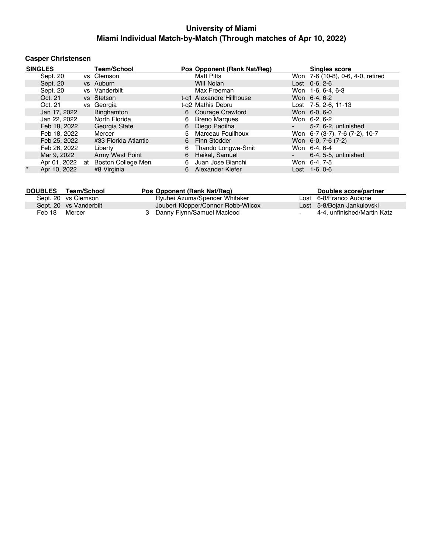## **Casper Christensen**

| <b>SINGLES</b>          |    | <b>Team/School</b>   |    | Pos Opponent (Rank Nat/Reg) |        | <b>Singles score</b>              |
|-------------------------|----|----------------------|----|-----------------------------|--------|-----------------------------------|
| Sept. 20                |    | vs Clemson           |    | <b>Matt Pitts</b>           |        | Won 7-6 (10-8), 0-6, 4-0, retired |
| Sept. 20                |    | vs Auburn            |    | Will Nolan                  |        | $Cost$ 0-6, 2-6                   |
| Sept. 20                |    | vs Vanderbilt        |    | Max Freeman                 |        | Won 1-6, 6-4, 6-3                 |
| Oct. 21                 |    | vs Stetson           |    | t-g1 Alexandre Hillhouse    |        | Won 6-4, 6-2                      |
| Oct. 21                 |    | vs Georgia           |    | t-g2 Mathis Debru           |        | Lost 7-5, 2-6, 11-13              |
| Jan 17, 2022            |    | Binghamton           |    | 6 Courage Crawford          |        | Won 6-0, 6-0                      |
| Jan 22, 2022            |    | North Florida        | 6  | <b>Breno Marques</b>        |        | Won 6-2, 6-2                      |
| Feb 18, 2022            |    | Georgia State        | 6  | Diego Padilha               | $\sim$ | 5-7, 6-2, unfinished              |
| Feb 18, 2022            |    | Mercer               | 5. | Marceau Fouilhoux           |        | Won 6-7 (3-7), 7-6 (7-2), 10-7    |
| Feb 25, 2022            |    | #33 Florida Atlantic | 6  | Finn Stodder                |        | Won 6-0, 7-6 (7-2)                |
| Feb 26, 2022            |    | Liberty              | 6  | Thando Longwe-Smit          |        | Won 6-4, 6-4                      |
| Mar 9, 2022             |    | Army West Point      | 6  | Haikal, Samuel              | ۰      | 6-4, 5-5, unfinished              |
| Apr 01, 2022            | at | Boston College Men   | 6  | Juan Jose Bianchi           |        | Won 6-4, 7-5                      |
| $\star$<br>Apr 10, 2022 |    | #8 Virginia          | 6  | Alexander Kiefer            |        | $Last 1-6.0-6$                    |

| <b>DOUBLES</b> | Team/School            | Pos Opponent (Rank Nat/Reg)        | Doubles score/partner       |
|----------------|------------------------|------------------------------------|-----------------------------|
|                | Sept. 20 vs Clemson    | Ryuhei Azuma/Spencer Whitaker      | Lost 6-8/Franco Aubone      |
|                | Sept. 20 vs Vanderbilt | Joubert Klopper/Connor Robb-Wilcox | Lost 5-8/Bojan Jankulovski  |
| Feb 18         | Mercer                 | 3 Danny Flynn/Samuel Macleod       | 4-4. unfinished/Martin Katz |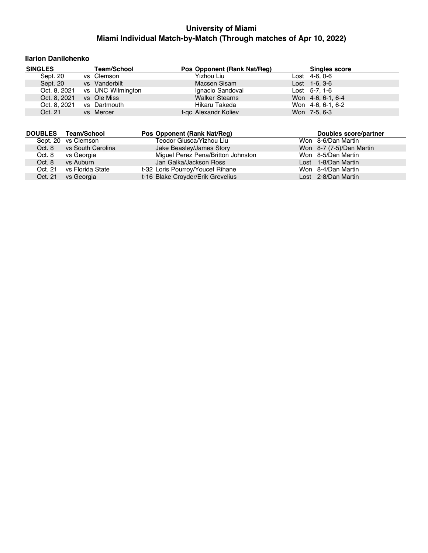#### **Ilarion Danilchenko**

| <b>SINGLES</b> |              | <b>Team/School</b> | Pos Opponent (Rank Nat/Reg) | <b>Singles score</b> |  |
|----------------|--------------|--------------------|-----------------------------|----------------------|--|
| Sept. 20       |              | vs Clemson         | Yizhou Liu                  | $Last 4-6, 0-6$      |  |
| Sept. 20       |              | vs Vanderbilt      | Macsen Sisam                | $Last 1-6, 3-6$      |  |
|                | Oct. 8, 2021 | vs UNC Wilmington  | Ignacio Sandoval            | Lost $5-7, 1-6$      |  |
|                | Oct. 8, 2021 | vs Ole Miss        | <b>Walker Stearns</b>       | Won 4-6, 6-1, 6-4    |  |
|                | Oct. 8, 2021 | vs Dartmouth       | Hikaru Takeda               | Won 4-6, 6-1, 6-2    |  |
| Oct. 21        |              | vs Mercer          | t-gc Alexandr Koliev        | Won 7-5, 6-3         |  |

| <b>DOUBLES</b> | Team/School         | Pos Opponent (Rank Nat/Req)        | Doubles score/partner    |
|----------------|---------------------|------------------------------------|--------------------------|
|                | Sept. 20 vs Clemson | Teodor Giusca/Yizhou Liu           | Won 8-6/Dan Martin       |
| Oct. 8         | vs South Carolina   | Jake Beasley/James Story           | Won 8-7 (7-5)/Dan Martin |
| Oct. 8         | vs Georgia          | Miguel Perez Pena/Britton Johnston | Won 8-5/Dan Martin       |
| Oct. 8         | vs Auburn           | Jan Galka/Jackson Ross             | Lost 1-8/Dan Martin      |
| Oct. 21        | vs Florida State    | t-32 Loris Pourroy/Youcef Rihane   | Won 8-4/Dan Martin       |
| Oct. 21        | vs Georgia          | t-16 Blake Croyder/Erik Grevelius  | Lost 2-8/Dan Martin      |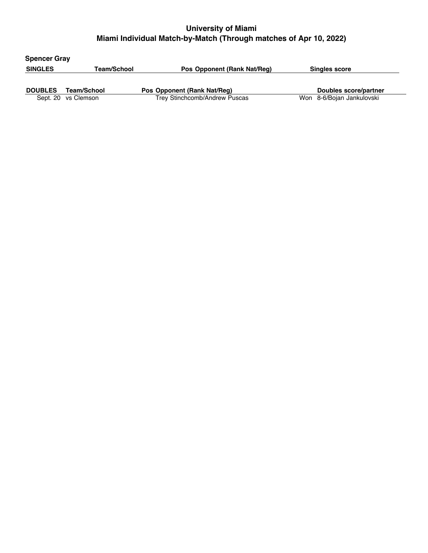| <b>Spencer Gray</b> |                     |                               |                           |
|---------------------|---------------------|-------------------------------|---------------------------|
| <b>SINGLES</b>      | Team/School         | Pos Opponent (Rank Nat/Req)   | <b>Singles score</b>      |
|                     | Team/School         |                               |                           |
| <b>DOUBLES</b>      |                     | Pos Opponent (Rank Nat/Req)   | Doubles score/partner     |
|                     | Sept. 20 vs Clemson | Trey Stinchcomb/Andrew Puscas | Won 8-6/Bojan Jankulovski |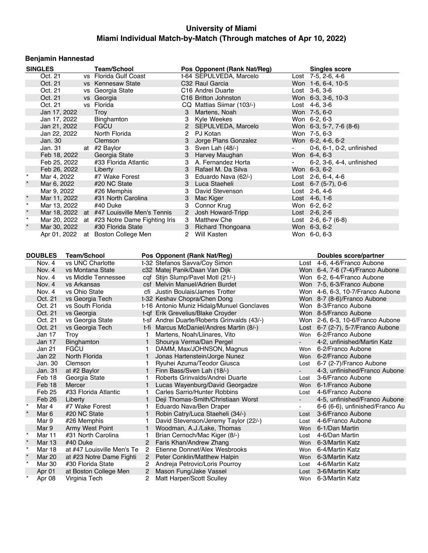## **Benjamin Hannestad**

|         | <b>SINGLES</b>   |                    | <b>Team/School</b>                           |                |                               | Pos Opponent (Rank Nat/Reg)                 |                 | <b>Singles score</b>              |
|---------|------------------|--------------------|----------------------------------------------|----------------|-------------------------------|---------------------------------------------|-----------------|-----------------------------------|
|         | Oct. 21          |                    | vs Florida Gulf Coast                        |                |                               | t-64 SEPULVEDA, Marcelo                     |                 | Lost 7-5, 2-6, 4-6                |
|         | Oct. 21          |                    | vs Kennesaw State                            |                |                               | C32 Raul Garcia                             |                 | Won 1-6, 6-4, 10-5                |
|         | Oct. 21          |                    | vs Georgia State                             |                |                               | C <sub>16</sub> Andrei Duarte               | Lost $3-6, 3-6$ |                                   |
|         | Oct. 21          |                    | vs Georgia                                   |                |                               | C16 Britton Johnston                        |                 | Won 6-3, 3-6, 10-3                |
|         | Oct. 21          |                    | vs Florida                                   |                |                               | CQ Mattias Siimar (103/-)                   | Lost $4-6, 3-6$ |                                   |
|         | Jan 17, 2022     |                    | Troy                                         |                | 3                             | Martens, Noah                               | Won 7-5, 6-0    |                                   |
|         |                  |                    |                                              |                |                               |                                             |                 |                                   |
|         | Jan 17, 2022     |                    | Binghamton                                   |                | 3                             | Kyle Weekes                                 | Won 6-2, 6-3    |                                   |
|         | Jan 21, 2022     |                    | <b>FGCU</b>                                  |                |                               | 2 SEPULVEDA, Marcelo                        |                 | Won 6-3, 5-7, 7-6 (8-6)           |
|         | Jan 22, 2022     |                    | North Florida                                |                | $\overline{2}$                | PJ Kotan                                    | Won 7-5, 6-3    |                                   |
|         | Jan. 30          |                    | Clemson                                      |                | 3                             | Jorge Plans Gonzalez                        |                 | Won 6-2, 4-6, 6-2                 |
|         | Jan. 31          |                    | at #2 Baylor                                 |                | 3                             | Sven Lah (48/-)                             |                 | 0-6, 6-1, 0-2, unfinished         |
|         | Feb 18, 2022     |                    | Georgia State                                |                | 3                             | Harvey Maughan                              | Won 6-4, 6-3    |                                   |
|         | Feb 25, 2022     |                    | #33 Florida Atlantic                         |                | 3                             | A. Fernandez Horta                          |                 | 6-2, 3-6, 4-4, unfinished         |
|         | Feb 26, 2022     |                    | Liberty                                      |                | 3                             | Rafael M. Da Silva                          | Won 6-3, 6-2    |                                   |
| $\star$ | Mar 4, 2022      |                    | #7 Wake Forest                               |                | 3                             | Eduardo Nava (62/-)                         |                 | Lost $2-6, 6-4, 4-6$              |
|         | Mar 6, 2022      |                    | #20 NC State                                 |                | 3                             | Luca Staeheli                               |                 | Lost $6-7$ (5-7), 0-6             |
|         | Mar 9, 2022      |                    | #26 Memphis                                  |                | 3                             | David Stevenson                             | Lost 2-6, 4-6   |                                   |
| $\star$ | Mar 11, 2022     |                    | #31 North Carolina                           |                | 3                             | Mac Kiger                                   | Lost $4-6, 1-6$ |                                   |
| $\star$ | Mar 13, 2022     |                    | #40 Duke                                     |                | 3                             | Connor Krug                                 | Won 6-2, 6-2    |                                   |
| $\star$ |                  |                    | Mar 18, 2022 at #47 Louisville Men's Tennis  |                | $\sqrt{2}$                    | Josh Howard-Tripp                           | Lost 2-6, 2-6   |                                   |
| $\star$ |                  |                    | Mar 20, 2022 at #23 Notre Dame Fighting Iris |                | 3                             | <b>Matthew Che</b>                          |                 | Lost 2-6, 6-7 (6-8)               |
| $\star$ | Mar 30, 2022     |                    |                                              |                | 3 <sup>7</sup>                |                                             | Won 6-3, 6-2    |                                   |
|         |                  |                    | #30 Florida State                            |                |                               | <b>Richard Thongoana</b>                    |                 |                                   |
|         |                  |                    | Apr 01, 2022 at Boston College Men           |                | 2                             | Will Kasten                                 | Won 6-0, 6-3    |                                   |
|         |                  |                    |                                              |                |                               |                                             |                 |                                   |
|         |                  |                    |                                              |                |                               |                                             |                 |                                   |
|         | <b>DOUBLES</b>   | <b>Team/School</b> |                                              |                | Pos Opponent (Rank Nat/Reg)   |                                             |                 | Doubles score/partner             |
|         | Nov. 4           |                    | vs UNC Charlotte                             |                | t-32 Stefanos Savva/Coy Simon |                                             |                 | Lost 4-6, 4-6/Franco Aubone       |
|         | Nov. 4           |                    | vs Montana State                             |                | c32 Matej Panik/Daan Van Dijk |                                             |                 | Won 6-4, 7-6 (7-4)/Franco Aubone  |
|         | Nov. 4           |                    | vs Middle Tennessee                          |                |                               | cqf Stijn Slump/Pavel Motl (21/-)           |                 | Won 6-2, 6-4/Franco Aubone        |
|         | Nov. 4           | vs Arkansas        |                                              |                |                               | csf Melvin Manuel/Adrien Burdet             |                 | Won 7-5, 6-3/Franco Aubone        |
|         | Nov. 4           | vs Ohio State      |                                              |                |                               | cfi Justin Boulais/James Trotter            |                 | Won 4-6, 6-3, 10-7/Franco Aubone  |
|         | Oct. 21          |                    | vs Georgia Tech                              |                | t-32 Keshav Chopra/Chen Dong  |                                             |                 | Won 8-7 (8-6)/Franco Aubone       |
|         | Oct. 21          |                    | vs South Florida                             |                |                               | t-16 Antonio Muniz Hidalg/Munuel Gonclaves  |                 | Won 8-3/Franco Aubone             |
|         | Oct. 21          | vs Georgia         |                                              |                |                               | t-qf Erik Grevelius/Blake Croyder           |                 | Won 8-5/Franco Aubone             |
|         | Oct. 21          |                    | vs Georgia State                             |                |                               | t-sf Andrei Duarte/Roberts Grinvalds (43/-) |                 | Won 2-6, 6-3, 10-6/Franco Aubone  |
|         | Oct. 21          |                    | vs Georgia Tech                              |                |                               | t-fi Marcus McDaniel/Andres Martin (8/-)    |                 | Lost 6-7 (2-7), 5-7/Franco Aubone |
|         | Jan 17           | Troy               |                                              | 1.             |                               | Martens, Noah/Llinares, Vito                |                 | Won 6-2/Franco Aubone             |
|         | Jan 17           | Binghamton         |                                              |                | 1 Shourya Verma/Dan Pergel    |                                             |                 | 4-2, unfinished/Martin Katz       |
|         | Jan 21           | <b>FGCU</b>        |                                              | 1.             |                               | DAMM, Max/JOHNSON, Magnus                   |                 | Won 6-2/Franco Aubone             |
|         | Jan 22           | North Florida      |                                              | 1              |                               | Jonas Hartenstein/Jorge Nunez               |                 | Won 6-2/Franco Aubone             |
|         | Jan. 30          | Clemson            |                                              | 1.             |                               | Ryuhei Azuma/Teodor Giusca                  | Lost            | 6-7 (2-7)/Franco Aubone           |
|         | Jan. 31          | at #2 Baylor       |                                              | $\mathbf{1}$   | Finn Bass/Sven Lah (18/-)     |                                             |                 | 4-3, unfinished/Franco Aubone     |
|         |                  |                    |                                              |                |                               | Roberts Grinvalds/Andrei Duarte             |                 |                                   |
|         | Feb 18           | Georgia State      |                                              | 1.             |                               |                                             | Lost            | 3-6/Franco Aubone                 |
|         | Feb 18           | Mercer             |                                              |                |                               | Lucas Wayenburg/David Georgadze             |                 | Won 6-1/Franco Aubone             |
|         | Feb 25           |                    | #33 Florida Atlantic                         | 1              |                               | Carles Sarrio/Hunter Robbins                | Lost            | 4-6/Franco Aubone                 |
|         | Feb 26           | Liberty            |                                              | 1              |                               | Deji Thomas-Smith/Christiaan Worst          | $\blacksquare$  | 4-5, unfinished/Franco Aubone     |
| $\star$ | Mar 4            | #7 Wake Forest     |                                              | 1.             | Eduardo Nava/Ben Draper       |                                             | $\blacksquare$  | 6-6 (6-6), unfinished/Franco Au   |
| $\star$ | Mar <sub>6</sub> | #20 NC State       |                                              | 1              |                               | Robin Catry/Luca Staeheli (34/-)            | Lost            | 3-6/Franco Aubone                 |
|         | Mar 9            | #26 Memphis        |                                              | 1              |                               | David Stevenson/Jeremy Taylor (22/-)        | Lost            | 4-6/Franco Aubone                 |
|         | Mar 9            |                    | Army West Point                              | 1              |                               | Woodman, A.J./Lake, Thomas                  | Won             | 6-1/Dan Martin                    |
| $\star$ | Mar 11           |                    | #31 North Carolina                           | 1.             |                               | Brian Cernoch/Mac Kiger (8/-)               | Lost            | 4-6/Dan Martin                    |
|         | Mar 13           | #40 Duke           |                                              | $\overline{2}$ | Faris Khan/Andrew Zhang       |                                             | Won             | 6-3/Martin Katz                   |
| $\star$ | <b>Mar 18</b>    |                    | at #47 Louisville Men's Te                   | 2              |                               | Etienne Donnet/Alex Wesbrooks               | Won             | 6-4/Martin Katz                   |
|         | Mar 20           |                    | at #23 Notre Dame Fighti                     | $\overline{2}$ |                               | Peter Conklin/Matthew Halpin                | Won             | 6-3/Martin Katz                   |
| $\star$ | Mar 30           |                    | #30 Florida State                            | 2              |                               | Andreja Petrovic/Loris Pourroy              | Lost            | 4-6/Martin Katz                   |
|         | Apr 01           |                    | at Boston College Men                        | 2              | Mason Fung/Jake Vassel        |                                             | Lost            | 3-6/Martin Katz                   |
| $\star$ |                  | Virginia Tech      |                                              | 2              | Matt Harper/Scott Sculley     |                                             | Won             | 6-3/Martin Katz                   |
|         | Apr 08           |                    |                                              |                |                               |                                             |                 |                                   |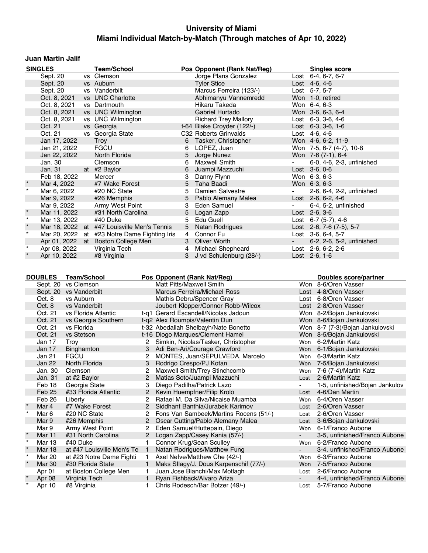### **Juan Martin Jalif**

|         | <b>SINGLES</b> | <b>Team/School</b>                           |                | Pos Opponent (Rank Nat/Reg) |                | <b>Singles score</b>       |
|---------|----------------|----------------------------------------------|----------------|-----------------------------|----------------|----------------------------|
|         | Sept. $20$     | vs Clemson                                   |                | Jorge Plans Gonzalez        |                | Lost $6-4, 6-7, 6-7$       |
|         | Sept. 20       | vs Auburn                                    |                | <b>Tyler Stice</b>          |                | Lost $4-6, 4-6$            |
|         | Sept. 20       | vs Vanderbilt                                |                | Marcus Ferreira (123/-)     |                | Lost 5-7, 5-7              |
|         | Oct. 8, 2021   | vs UNC Charlotte                             |                | Abhimanyu Vannemredd        |                | Won 1-0, retired           |
|         | Oct. 8, 2021   | vs Dartmouth                                 |                | Hikaru Takeda               |                | Won 6-4, 6-3               |
|         | Oct. 8, 2021   | vs UNC Wilmington                            |                | Gabriel Hurtado             |                | Won 3-6, 6-3, 6-4          |
|         | Oct. 8, 2021   | vs UNC Wilmington                            |                | <b>Richard Trey Mallory</b> |                | Lost 6-3, 3-6, 4-6         |
|         | Oct. 21        | vs Georgia                                   |                | t-64 Blake Croyder (122/-)  |                | Lost $6-3$ , $3-6$ , $1-6$ |
|         | Oct. 21        | vs Georgia State                             |                | C32 Roberts Grinvalds       |                | Lost 4-6, 4-6              |
|         | Jan 17, 2022   | Troy                                         | 6              | Tasker, Christopher         |                | Won 4-6, 6-2, 11-9         |
|         | Jan 21, 2022   | <b>FGCU</b>                                  | 6              | LOPEZ, Juan                 |                | Won 7-5, 6-7 (4-7), 10-8   |
|         | Jan 22, 2022   | North Florida                                | 5              | Jorge Nunez                 |                | Won 7-6 (7-1), 6-4         |
|         | Jan. 30        | Clemson                                      | 6              | <b>Maxwell Smith</b>        |                | 6-0, 4-6, 2-3, unfinished  |
|         | Jan. 31        | at #2 Baylor                                 | 6              | Juampi Mazzuchi             |                | Lost 3-6, 0-6              |
|         | Feb 18, 2022   | Mercer                                       | 3              | Danny Flynn                 |                | Won 6-3, 6-3               |
|         | Mar 4, 2022    | #7 Wake Forest                               |                | 5 Taha Baadi                |                | Won 6-3, 6-3               |
|         | Mar 6, 2022    | #20 NC State                                 | 5.             | Damien Salvestre            | $\blacksquare$ | 2-6, 6-4, 2-2, unfinished  |
|         | Mar 9, 2022    | #26 Memphis                                  | 5              | Pablo Alemany Malea         |                | Lost 2-6, 6-2, 4-6         |
|         | Mar 9, 2022    | Army West Point                              | 3              | Eden Samuel                 |                | 6-4, 5-2, unfinished       |
| $\star$ | Mar 11, 2022   | #31 North Carolina                           | 5              | Logan Zapp                  |                | Lost $2-6, 3-6$            |
| $\star$ | Mar 13, 2022   | #40 Duke                                     |                | 5 Edu Guell                 |                | Lost 6-7 (5-7), 4-6        |
| $\star$ |                | Mar 18, 2022 at #47 Louisville Men's Tennis  | 5              | Natan Rodrigues             |                | Lost 2-6, 7-6 (7-5), 5-7   |
| $\star$ |                | Mar 20, 2022 at #23 Notre Dame Fighting Iris | $\overline{4}$ | Connor Fu                   |                | Lost 3-6, 6-4, 5-7         |
|         |                | Apr 01, 2022 at Boston College Men           |                | 3 Oliver Worth              | $\sim 100$     | 6-2, 2-6, 5-2, unfinished  |
|         | Apr 08, 2022   | Virginia Tech                                |                | 4 Michael Shepheard         |                | Lost $2-6, 6-2, 2-6$       |
|         | Apr 10, 2022   | #8 Virginia                                  |                | 3 J vd Schulenburg (28/-)   |                | Lost $2-6$ , 1-6           |

|         | <b>DOUBLES</b>    | <b>Team/School</b>         |              | Pos Opponent (Rank Nat/Reg)            |            | <b>Doubles score/partner</b>    |
|---------|-------------------|----------------------------|--------------|----------------------------------------|------------|---------------------------------|
|         | Sept. 20          | vs Clemson                 |              | Matt Pitts/Maxwell Smith               |            | Won 8-6/Oren Vasser             |
|         | Sept. 20          | vs Vanderbilt              |              | <b>Marcus Ferreira/Michael Ross</b>    |            | Lost 4-8/Oren Vasser            |
|         | Oct. 8            | vs Auburn                  |              | Mathis Debru/Spencer Gray              | Lost       | 6-8/Oren Vasser                 |
|         | Oct. 8            | vs Vanderbilt              |              | Joubert Klopper/Connor Robb-Wilcox     |            | Lost 2-8/Oren Vasser            |
|         | Oct. 21           | vs Florida Atlantic        |              | t-q1 Gerard Escandell/Nicolas Jadoun   |            | Won 8-2/Bojan Jankulovski       |
|         | Oct. 21           | vs Georgia Southern        |              | t-q2 Alex Roumpis/Valentin Dun         |            | Won 8-6/Bojan Jankulovski       |
|         | Oct. 21           | vs Florida                 |              | t-32 Abedallah Shelbayh/Nate Bonetto   |            | Won 8-7 (7-3)/Bojan Jankulovski |
|         | Oct. 21           | vs Stetson                 |              | t-16 Diogo Marques/Clement Hamel       |            | Won 8-5/Bojan Jankulovski       |
|         | Jan 17            | Troy                       | 2            | Simkin, Nicolas/Tasker, Christopher    | Won        | 6-2/Martin Katz                 |
|         | Jan 17            | Binghamton                 | 3            | Adi Ben-Ari/Courage Crawford           | Won        | 6-1/Bojan Jankulovski           |
|         | Jan 21            | <b>FGCU</b>                |              | MONTES, Juan/SEPULVEDA, Marcelo        | Won        | 6-3/Martin Katz                 |
|         | Jan 22            | North Florida              | 3            | Rodrigo Crespo/PJ Kotan                | <b>Won</b> | 7-5/Bojan Jankulovski           |
|         | Jan. 30           | Clemson                    | 2            | Maxwell Smith/Trey Stinchcomb          | Won        | 7-6 (7-4)/Martin Katz           |
|         | Jan. 31           | at #2 Baylor               |              | Matias Soto/Juampi Mazzuchi            | Lost       | 2-6/Martin Katz                 |
|         | Feb 18            | Georgia State              | 3            | Diego Padilha/Patrick Lazo             |            | 1-5, unfinished/Bojan Jankulov  |
|         | Feb 25            | #33 Florida Atlantic       |              | Kevin Huempfner/Filip Krolo            | Lost       | 4-6/Dan Martin                  |
|         | Feb <sub>26</sub> | Liberty                    |              | Rafael M. Da Silva/Nicaise Muamba      | Won        | 6-4/Oren Vasser                 |
|         | Mar 4             | #7 Wake Forest             |              | Siddhant Banthia/Jurabek Karimov       | Lost       | 2-6/Oren Vasser                 |
|         | Mar 6             | #20 NC State               |              | Fons Van Sambeek/Martins Rocens (51/-) | Lost       | 2-6/Oren Vasser                 |
|         | Mar 9             | #26 Memphis                |              | Oscar Cutting/Pablo Alemany Malea      | Lost       | 3-6/Bojan Jankulovski           |
|         | Mar 9             | Army West Point            |              | Eden Samuel/Huttepain, Diego           | Won        | 6-1/Franco Aubone               |
| $\star$ | <b>Mar 11</b>     | #31 North Carolina         | 2            | Logan Zapp/Casey Kania (57/-)          |            | 3-5, unfinished/Franco Aubone   |
| $\star$ | <b>Mar 13</b>     | #40 Duke                   |              | Connor Krug/Sean Sculley               |            | Won 6-2/Franco Aubone           |
| $\star$ | <b>Mar 18</b>     | at #47 Louisville Men's Te | $\mathbf{1}$ | Natan Rodrigues/Matthew Fung           |            | 3-4, unfinished/Franco Aubone   |
| $\star$ | Mar 20            | at #23 Notre Dame Fighti   | 1.           | Axel Nefve/Matthew Che (42/-)          | Won        | 6-3/Franco Aubone               |
| $\star$ | Mar 30            | #30 Florida State          | $\mathbf{1}$ | Maks Sllagy/J. Dous Karpenschif (77/-) | Won        | 7-5/Franco Aubone               |
|         | Apr 01            | at Boston College Men      |              | Juan Jose Bianchi/Max Motlagh          | Lost       | 2-6/Franco Aubone               |
|         | Apr 08            | Virginia Tech              | 1            | Ryan Fishback/Alvaro Ariza             |            | 4-4, unfinished/Franco Aubone   |
| $\star$ | Apr 10            | #8 Virginia                |              | Chris Rodesch/Bar Botzer (49/-)        | Lost       | 5-7/Franco Aubone               |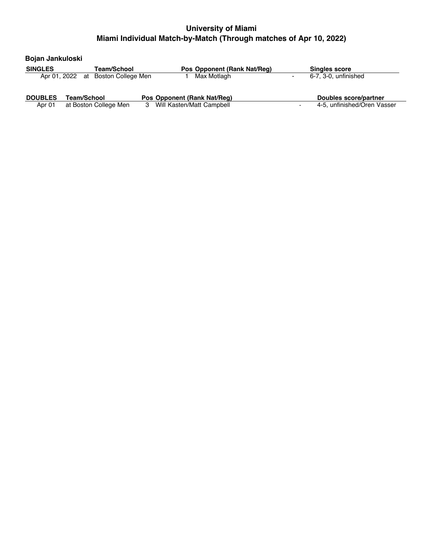| Bojan Jankuloski |                                    |                                |                                        |
|------------------|------------------------------------|--------------------------------|----------------------------------------|
| <b>SINGLES</b>   | Team/School                        | Pos Opponent (Rank Nat/Req)    | <b>Singles score</b>                   |
|                  | Apr 01, 2022 at Boston College Men | Max Motlagh                    | 6-7, 3-0, unfinished<br>$\blacksquare$ |
| <b>DOUBLES</b>   | Team/School                        | Pos Opponent (Rank Nat/Req)    | <b>Doubles score/partner</b>           |
| Apr 01           | at Boston College Men              | Will Kasten/Matt Campbell<br>3 | 4-5, unfinished/Oren Vasser            |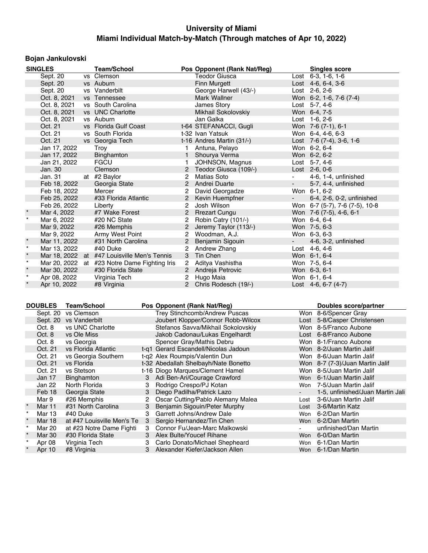# **Bojan Jankulovski**

|         | <b>SINGLES</b> | <b>Team/School</b>                           |                       | Pos Opponent (Rank Nat/Reg) |                     | <b>Singles score</b>                   |
|---------|----------------|----------------------------------------------|-----------------------|-----------------------------|---------------------|----------------------------------------|
|         | Sept. 20       | vs Clemson                                   |                       | Teodor Giusca               |                     | $\overline{\text{Last}}$ 6-3, 1-6, 1-6 |
|         | Sept. 20       | vs Auburn                                    |                       | Finn Murgett                |                     | Lost $4-6, 6-4, 3-6$                   |
|         | Sept. 20       | vs Vanderbilt                                |                       | George Harwell (43/-)       |                     | Lost 2-6, 2-6                          |
|         | Oct. 8, 2021   | vs Tennessee                                 |                       | Mark Wallner                |                     | Won 6-2, 1-6, 7-6 (7-4)                |
|         | Oct. 8, 2021   | vs South Carolina                            |                       | James Story                 |                     | Lost 5-7, 4-6                          |
|         | Oct. 8, 2021   | vs UNC Charlotte                             |                       | Mikhail Sokolovskiy         |                     | Won 6-4, 7-5                           |
|         | Oct. 8, 2021   | vs Auburn                                    |                       | Jan Galka                   |                     | Lost 1-6, 2-6                          |
|         | Oct. 21        | vs Florida Gulf Coast                        |                       | t-64 STEFANACCI, Gugli      |                     | Won 7-6 (7-1), 6-1                     |
|         | Oct. 21        | vs South Florida                             |                       | t-32 Ivan Yatsuk            |                     | Won 6-4, 4-6, 6-3                      |
|         | Oct. 21        | vs Georgia Tech                              |                       | t-16 Andres Martin (31/-)   |                     | Lost 7-6 (7-4), 3-6, 1-6               |
|         | Jan 17, 2022   | Troy                                         | 1.                    | Antuna, Pelayo              |                     | Won 6-2, 6-4                           |
|         | Jan 17, 2022   | Binghamton                                   | $\mathbf{1}$          | Shourya Verma               |                     | Won 6-2, 6-2                           |
|         | Jan 21, 2022   | <b>FGCU</b>                                  | 1                     | JOHNSON, Magnus             |                     | Lost $5-7, 4-6$                        |
|         | Jan. 30        | Clemson                                      | 2                     | Teodor Giusca (109/-)       |                     | Lost 2-6, 0-6                          |
|         | Jan. 31        | at #2 Baylor                                 | 2                     | Matias Soto                 | $\sim 100$          | 4-6, 1-4, unfinished                   |
|         | Feb 18, 2022   | Georgia State                                |                       | 2 Andrei Duarte             | $\omega_{\rm{max}}$ | 5-7, 4-4, unfinished                   |
|         | Feb 18, 2022   | Mercer                                       |                       | David Georgadze             |                     | Won 6-1, 6-2                           |
|         | Feb 25, 2022   | #33 Florida Atlantic                         |                       | 2 Kevin Huempfner           |                     | 6-4, 2-6, 0-2, unfinished              |
|         | Feb 26, 2022   | Liberty                                      | $\overline{2}$        | Josh Wilson                 |                     | Won 6-7 (5-7), 7-6 (7-5), 10-8         |
|         | Mar 4, 2022    | #7 Wake Forest                               | $\overline{2}$        | <b>Rrezart Cungu</b>        |                     | Won 7-6 (7-5), 4-6, 6-1                |
| $\star$ | Mar 6, 2022    | #20 NC State                                 | 2                     | Robin Catry (101/-)         |                     | Won 6-4, 6-4                           |
|         | Mar 9, 2022    | #26 Memphis                                  | $\overline{2}$        | Jeremy Taylor (113/-)       |                     | Won 7-5, 6-3                           |
|         | Mar 9, 2022    | Army West Point                              | $\overline{2}$        | Woodman, A.J.               |                     | Won 6-3, 6-3                           |
| $\star$ | Mar 11, 2022   | #31 North Carolina                           | $\mathbf{2}$          | Benjamin Sigouin            |                     | 4-6, 3-2, unfinished                   |
| $\star$ | Mar 13, 2022   | #40 Duke                                     | $\overline{2}$        | Andrew Zhang                |                     | Lost 4-6, 4-6                          |
| $\star$ |                | Mar 18, 2022 at #47 Louisville Men's Tennis  | 3 <sup>1</sup>        | Tin Chen                    |                     | Won 6-1, 6-4                           |
| $\star$ |                | Mar 20, 2022 at #23 Notre Dame Fighting Iris |                       | 2 Aditya Vashistha          |                     | Won 7-5, 6-4                           |
| $\star$ | Mar 30, 2022   | #30 Florida State                            |                       | 2 Andreja Petrovic          |                     | Won 6-3, 6-1                           |
| $\star$ | Apr 08, 2022   | Virginia Tech                                | $\mathbf{2}^{\prime}$ | Hugo Maia                   |                     | Won 6-1, 6-4                           |
| $\star$ | Apr 10, 2022   | #8 Virginia                                  |                       | 2 Chris Rodesch (19/-)      |                     | Lost $4-6, 6-7 (4-7)$                  |

|         | <b>DOUBLES</b> | <b>Team/School</b>         |   | Pos Opponent (Rank Nat/Reg)          |      | Doubles score/partner            |
|---------|----------------|----------------------------|---|--------------------------------------|------|----------------------------------|
|         | Sept. 20       | vs Clemson                 |   | Trey Stinchcomb/Andrew Puscas        |      | Won 8-6/Spencer Gray             |
|         | Sept. 20       | vs Vanderbilt              |   | Joubert Klopper/Connor Robb-Wilcox   |      | Lost 5-8/Casper Christensen      |
|         | Oct. 8         | vs UNC Charlotte           |   | Stefanos Savva/Mikhail Sokolovskiy   |      | Won 8-5/Franco Aubone            |
|         | Oct. 8         | vs Ole Miss                |   | Jakob Cadonau/Lukas Engelhardt       |      | Lost 6-8/Franco Aubone           |
|         | Oct. 8         | vs Georgia                 |   | Spencer Gray/Mathis Debru            |      | Won 8-1/Franco Aubone            |
|         | Oct. 21        | vs Florida Atlantic        |   | t-q1 Gerard Escandell/Nicolas Jadoun |      | Won 8-2/Juan Martin Jalif        |
|         | Oct. 21        | vs Georgia Southern        |   | t-g2 Alex Roumpis/Valentin Dun       |      | Won 8-6/Juan Martin Jalif        |
|         | Oct. 21        | vs Florida                 |   | t-32 Abedallah Shelbayh/Nate Bonetto |      | Won 8-7 (7-3)/Juan Martin Jalif  |
|         | Oct. 21        | vs Stetson                 |   | t-16 Diogo Marques/Clement Hamel     |      | Won 8-5/Juan Martin Jalif        |
|         | Jan 17         | <b>Binghamton</b>          | 3 | Adi Ben-Ari/Courage Crawford         |      | Won 6-1/Juan Martin Jalif        |
|         | Jan 22         | North Florida              | 3 | Rodrigo Crespo/PJ Kotan              | Won  | 7-5/Juan Martin Jalif            |
|         | Feb 18         | Georgia State              | 3 | Diego Padilha/Patrick Lazo           |      | 1-5, unfinished/Juan Martin Jali |
|         | Mar 9          | #26 Memphis                | 2 | Oscar Cutting/Pablo Alemany Malea    | Lost | 3-6/Juan Martin Jalif            |
|         | Mar 11         | #31 North Carolina         | 3 | Benjamin Sigouin/Peter Murphy        | Lost | 3-6/Martin Katz                  |
| $\star$ | Mar 13         | #40 Duke                   | 3 | Garrett Johns/Andrew Dale            | Won  | 6-2/Dan Martin                   |
| $\star$ | <b>Mar 18</b>  | at #47 Louisville Men's Te | 3 | Sergio Hernandez/Tin Chen            | Won  | 6-2/Dan Martin                   |
|         | Mar 20         | at #23 Notre Dame Fighti   | 3 | Connor Fu/Jean-Marc Malkowski        |      | unfinished/Dan Martin            |
|         | Mar 30         | #30 Florida State          | 3 | Alex Bulte/Youcef Rihane             | Won  | 6-0/Dan Martin                   |
|         | Apr 08         | Virginia Tech              | 3 | Carlo Donato/Michael Shepheard       | Won  | 6-1/Dan Martin                   |
|         | Apr 10         | #8 Virginia                |   | Alexander Kiefer/Jackson Allen       |      | Won 6-1/Dan Martin               |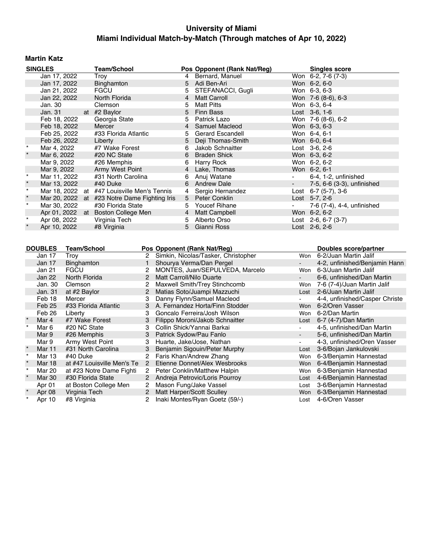## **Martin Katz**

|         | <b>SINGLES</b>   |                              | <b>Team/School</b>                           |                      |                 | Pos Opponent (Rank Nat/Reg)                                 |                          | <b>Singles score</b>                      |
|---------|------------------|------------------------------|----------------------------------------------|----------------------|-----------------|-------------------------------------------------------------|--------------------------|-------------------------------------------|
|         | Jan 17, 2022     |                              | Troy                                         |                      | $\overline{4}$  | Bernard, Manuel                                             |                          | Won 6-2, 7-6 (7-3)                        |
|         | Jan 17, 2022     |                              | Binghamton                                   |                      | 5               | Adi Ben-Ari                                                 | Won 6-2, 6-0             |                                           |
|         | Jan 21, 2022     |                              | <b>FGCU</b>                                  |                      | 5               | STEFANACCI, Gugli                                           | Won 6-3, 6-3             |                                           |
|         | Jan 22, 2022     |                              | North Florida                                |                      | 4               | <b>Matt Carroll</b>                                         |                          | Won 7-6 (8-6), 6-3                        |
|         | Jan. 30          |                              | Clemson                                      |                      | 5               | <b>Matt Pitts</b>                                           | Won 6-3, 6-4             |                                           |
|         | Jan. 31          |                              | at #2 Baylor                                 |                      | 5               | <b>Finn Bass</b>                                            | Lost 3-6, 1-6            |                                           |
|         | Feb 18, 2022     |                              | Georgia State                                |                      | 5               | Patrick Lazo                                                |                          | Won 7-6 (8-6), 6-2                        |
|         | Feb 18, 2022     |                              | Mercer                                       |                      | $\overline{4}$  | Samuel Macleod                                              | Won 6-3, 6-3             |                                           |
|         | Feb 25, 2022     |                              | #33 Florida Atlantic                         |                      | 5               | Gerard Escandell                                            | Won 6-4, 6-1             |                                           |
|         | Feb 26, 2022     |                              | Liberty                                      |                      | 5               | Deji Thomas-Smith                                           | Won 6-0, 6-4             |                                           |
|         | Mar 4, 2022      |                              | #7 Wake Forest                               |                      | 6               | Jakob Schnaitter                                            | Lost 3-6, 2-6            |                                           |
| $\star$ | Mar 6, 2022      |                              | #20 NC State                                 |                      | 6               | <b>Braden Shick</b>                                         | Won 6-3, 6-2             |                                           |
|         | Mar 9, 2022      |                              | #26 Memphis                                  |                      | 6               | <b>Harry Rock</b>                                           | Won 6-2, 6-2             |                                           |
|         | Mar 9, 2022      |                              | Army West Point                              |                      | $\overline{4}$  | Lake, Thomas                                                | Won 6-2, 6-1             |                                           |
| $\star$ | Mar 11, 2022     |                              | #31 North Carolina                           |                      | 6               | Anuj Watane                                                 |                          | 6-4, 1-2, unfinished                      |
|         | Mar 13, 2022     |                              | #40 Duke                                     |                      | 6               | <b>Andrew Dale</b>                                          | $\overline{\phantom{a}}$ | 7-5, 6-6 (3-3), unfinished                |
| $\star$ |                  |                              | Mar 18, 2022 at #47 Louisville Men's Tennis  |                      | 4               | Sergio Hernandez                                            |                          | Lost $6-7$ (5-7), 3-6                     |
| $\star$ |                  |                              | Mar 20, 2022 at #23 Notre Dame Fighting Iris |                      | $5\phantom{.0}$ | Peter Conklin                                               | Lost $5-7, 2-6$          |                                           |
| $\star$ | Mar 30, 2022     |                              | #30 Florida State                            |                      | 5               | Youcef Rihane                                               |                          | 7-6 (7-4), 4-4, unfinished                |
|         |                  |                              | Apr 01, 2022 at Boston College Men           |                      | 4               | <b>Matt Campbell</b>                                        | Won 6-2, 6-2             |                                           |
|         | Apr 08, 2022     |                              | Virginia Tech                                |                      | 5               | Alberto Orso                                                |                          | Lost 2-6, 6-7 (3-7)                       |
|         | Apr 10, 2022     |                              | #8 Virginia                                  |                      | 5               | Gianni Ross                                                 | Lost 2-6, 2-6            |                                           |
|         |                  |                              |                                              |                      |                 |                                                             |                          |                                           |
|         | <b>DOUBLES</b>   | <b>Team/School</b>           |                                              |                      |                 | Pos Opponent (Rank Nat/Reg)                                 |                          | Doubles score/partner                     |
|         | Jan 17           | Troy                         |                                              | $\mathbf{2}$         |                 | Simkin, Nicolas/Tasker, Christopher                         | Won                      | 6-2/Juan Martin Jalif                     |
|         | Jan 17           | Binghamton                   |                                              | $\mathbf{1}$         |                 | Shourya Verma/Dan Pergel                                    |                          | 4-2, unfinished/Benjamin Hann             |
|         | Jan 21           | <b>FGCU</b>                  |                                              | $\mathbf{2}^{\circ}$ |                 | MONTES, Juan/SEPULVEDA, Marcelo                             |                          | Won 6-3/Juan Martin Jalif                 |
|         | Jan 22           | North Florida                |                                              | $\overline{2}$       |                 | Matt Carroll/Nilo Duarte                                    | $\sim$                   | 6-6, unfinished/Dan Martin                |
|         | Jan. 30          | Clemson                      |                                              | 2                    |                 | Maxwell Smith/Trey Stinchcomb                               |                          | Won 7-6 (7-4)/Juan Martin Jalif           |
|         | Jan. 31          | at #2 Baylor                 |                                              | $\mathbf{2}$         |                 | Matias Soto/Juampi Mazzuchi                                 | Lost                     | 2-6/Juan Martin Jalif                     |
|         | Feb 18           | Mercer                       |                                              | 3                    |                 | Danny Flynn/Samuel Macleod                                  | $\overline{a}$           | 4-4, unfinished/Casper Christe            |
|         | Feb 25           |                              | #33 Florida Atlantic                         | 3                    |                 | A. Fernandez Horta/Finn Stodder                             |                          | Won 6-2/Oren Vasser                       |
|         | Feb 26           | Liberty                      |                                              | 3                    |                 | Goncalo Ferreira/Josh Wilson                                | Won                      | 6-2/Dan Martin                            |
| $\star$ | Mar 4            | #7 Wake Forest               |                                              | 3                    |                 | Filippo Moroni/Jakob Schnaitter                             | Lost                     | 6-7 (4-7)/Dan Martin                      |
| $\star$ | Mar 6            | #20 NC State                 |                                              | 3                    |                 | Collin Shick/Yannai Barkai                                  |                          | 4-5, unfinished/Dan Martin                |
|         | Mar 9            | #26 Memphis                  |                                              | 3                    |                 | Patrick Sydow/Pau Fanlo                                     | $\blacksquare$           | 5-6, unfinished/Dan Martin                |
|         | Mar 9            | Army West Point              |                                              | 3                    |                 | Huarte, Jake/Jose, Nathan                                   | $\blacksquare$           | 4-3, unfinished/Oren Vasser               |
|         | Mar 11           |                              | #31 North Carolina                           | 3                    |                 | Benjamin Sigouin/Peter Murphy                               | Lost                     | 3-6/Bojan Jankulovski                     |
| $\star$ | Mar 13           | #40 Duke                     |                                              | $\mathbf{2}^{\circ}$ |                 | Faris Khan/Andrew Zhang                                     | Won                      | 6-3/Benjamin Hannestad                    |
| $\star$ | Mar 18           |                              | at #47 Louisville Men's Te                   | $\overline{2}$       |                 | Etienne Donnet/Alex Wesbrooks                               | Won                      | 6-4/Benjamin Hannestad                    |
| $\star$ | Mar 20           |                              | at #23 Notre Dame Fighti                     | $\overline{2}$       |                 | Peter Conklin/Matthew Halpin                                | Won                      | 6-3/Benjamin Hannestad                    |
|         | Mar 30           | #30 Florida State            |                                              | $\overline{2}$       |                 | Andreja Petrovic/Loris Pourroy                              | Lost                     | 4-6/Benjamin Hannestad                    |
|         | Apr 01           |                              | at Boston College Men                        | $\mathbf{2}^{\circ}$ |                 | Mason Fung/Jake Vassel                                      | Lost                     | 3-6/Benjamin Hannestad                    |
|         | Apr 08<br>Apr 10 | Virginia Tech<br>#8 Virginia |                                              | $\overline{2}$<br>2  |                 | Matt Harper/Scott Sculley<br>Inaki Montes/Ryan Goetz (59/-) | Won<br>Lost              | 6-3/Benjamin Hannestad<br>4-6/Oren Vasser |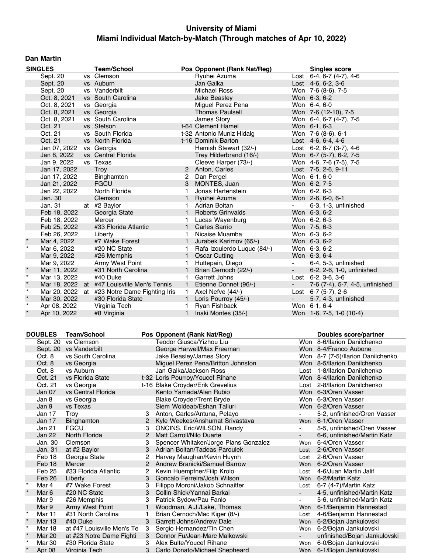### **Dan Martin**

|         | <b>SINGLES</b> | <b>Team/School</b>                           |              | Pos Opponent (Rank Nat/Reg) |                 | <b>Singles score</b>               |
|---------|----------------|----------------------------------------------|--------------|-----------------------------|-----------------|------------------------------------|
|         | Sept. 20       | vs Clemson                                   |              | Ryuhei Azuma                |                 | Lost 6-4, 6-7 (4-7), 4-6           |
|         | Sept. 20       | vs Auburn                                    |              | Jan Galka                   |                 | Lost $4-6, 6-2, 3-6$               |
|         | Sept. 20       | vs Vanderbilt                                |              | <b>Michael Ross</b>         |                 | Won 7-6 (8-6), 7-5                 |
|         | Oct. 8, 2021   | vs South Carolina                            |              | <b>Jake Beasley</b>         |                 | Won 6-3, 6-2                       |
|         | Oct. 8, 2021   | vs Georgia                                   |              | Miguel Perez Pena           |                 | Won 6-4, 6-0                       |
|         | Oct. 8, 2021   | vs Georgia                                   |              | <b>Thomas Paulsell</b>      |                 | Won 7-6 (12-10), 7-5               |
|         | Oct. 8, 2021   | vs South Carolina                            |              | James Story                 |                 | Won 6-4, 6-7 (4-7), 7-5            |
|         | Oct. 21        | vs Stetson                                   |              | t-64 Clement Hamel          |                 | Won 6-1, 6-3                       |
|         | Oct. 21        | vs South Florida                             |              | t-32 Antonio Muniz Hidalg   |                 | Won 7-6 (8-6), 6-1                 |
|         | Oct. 21        | vs North Florida                             |              | t-16 Dominik Barton         |                 | Lost $4-6, 6-4, 4-6$               |
|         | Jan 07, 2022   | vs Georgia                                   |              | Hamish Stewart (32/-)       |                 | Lost $6-2$ , $6-7$ $(3-7)$ , $4-6$ |
|         | Jan 8, 2022    | vs Central Florida                           |              | Trey Hilderbrand (16/-)     |                 | Won 6-7 (5-7), 6-2, 7-5            |
|         | Jan 9, 2022    | vs Texas                                     |              | Cleeve Harper (73/-)        |                 | Won 4-6, 7-6 (7-5), 7-5            |
|         | Jan 17, 2022   | Troy                                         | 2            | Anton, Carles               |                 | Lost 7-5, 2-6, 9-11                |
|         | Jan 17, 2022   | Binghamton                                   | 2            | Dan Pergel                  |                 | Won 6-1, 6-0                       |
|         | Jan 21, 2022   | <b>FGCU</b>                                  | 3            | MONTES, Juan                |                 | Won 6-2, 7-5                       |
|         | Jan 22, 2022   | North Florida                                | 1            | Jonas Hartenstein           |                 | Won 6-2, 6-3                       |
|         | Jan. 30        | Clemson                                      | $\mathbf{1}$ | Ryuhei Azuma                |                 | Won 2-6, 6-0, 6-1                  |
|         | Jan. 31        | at #2 Baylor                                 | 1.           | Adrian Boitan               |                 | 6-3, 1-3, unfinished               |
|         | Feb 18, 2022   | Georgia State                                |              | 1 Roberts Grinvalds         |                 | Won 6-3, 6-2                       |
|         | Feb 18, 2022   | Mercer                                       | 1            | Lucas Wayenburg             |                 | Won 6-2, 6-3                       |
|         | Feb 25, 2022   | #33 Florida Atlantic                         | $\mathbf{1}$ | <b>Carles Sarrio</b>        |                 | Won 7-5, 6-3                       |
|         | Feb 26, 2022   | Liberty                                      | 1            | Nicaise Muamba              |                 | Won 6-3, 6-2                       |
|         | Mar 4, 2022    | #7 Wake Forest                               | 1            | Jurabek Karimov (65/-)      |                 | Won 6-3, 6-2                       |
| $\star$ | Mar 6, 2022    | #20 NC State                                 | 1            | Rafa Izquierdo Luque (84/-) |                 | Won 6-3, 6-2                       |
|         | Mar 9, 2022    | #26 Memphis                                  | $\mathbf{1}$ | <b>Oscar Cutting</b>        |                 | Won 6-3, 6-4                       |
|         | Mar 9, 2022    | Army West Point                              | 1            | Huttepain, Diego            |                 | 6-4, 5-3, unfinished               |
|         | Mar 11, 2022   | #31 North Carolina                           | $\mathbf{1}$ | Brian Cernoch (22/-)        | $\sim$ 10 $\pm$ | 6-2, 2-6, 1-0, unfinished          |
| $\star$ | Mar 13, 2022   | #40 Duke                                     | 1            | Garrett Johns               |                 | Lost $6-2$ , $3-6$ , $3-6$         |
| $\star$ |                | Mar 18, 2022 at #47 Louisville Men's Tennis  | $\mathbf{1}$ | Etienne Donnet (96/-)       |                 | 7-6 (7-4), 5-7, 4-5, unfinished    |
| $\star$ |                | Mar 20, 2022 at #23 Notre Dame Fighting Iris | 1.           | Axel Nefve (44/-)           |                 | Lost 6-7 (5-7), 2-6                |
| $\star$ | Mar 30, 2022   | #30 Florida State                            | $\mathbf{1}$ | Loris Pourroy (45/-)        | $\sim$          | 5-7, 4-3, unfinished               |
| $\star$ | Apr 08, 2022   | Virginia Tech                                | 1            | Ryan Fishback               |                 | Won 6-1, 6-4                       |
| $\star$ | Apr 10, 2022   | #8 Virginia                                  | 1            | Inaki Montes (35/-)         |                 | Won 1-6, 7-5, 1-0 (10-4)           |

|          | <b>DOUBLES</b> | <b>Team/School</b>         |                | Pos Opponent (Rank Nat/Reg)           |                | Doubles score/partner             |
|----------|----------------|----------------------------|----------------|---------------------------------------|----------------|-----------------------------------|
|          | Sept. 20       | vs Clemson                 |                | Teodor Giusca/Yizhou Liu              |                | Won 8-6/llarion Danilchenko       |
|          |                | Sept. 20 vs Vanderbilt     |                | George Harwell/Max Freeman            |                | Won 8-4/Franco Aubone             |
|          | Oct. 8         | vs South Carolina          |                | Jake Beasley/James Story              |                | Won 8-7 (7-5)/llarion Danilchenko |
|          | Oct. 8         | vs Georgia                 |                | Miguel Perez Pena/Britton Johnston    |                | Won 8-5/llarion Danilchenko       |
|          | Oct. 8         | vs Auburn                  |                | Jan Galka/Jackson Ross                |                | Lost 1-8/llarion Danilchenko      |
|          | Oct. 21        | vs Florida State           |                | t-32 Loris Pourroy/Youcef Rihane      |                | Won 8-4/Ilarion Danilchenko       |
|          | Oct. 21        | vs Georgia                 |                | t-16 Blake Croyder/Erik Grevelius     |                | Lost 2-8/llarion Danilchenko      |
|          | Jan 07         | vs Central Florida         |                | Kento Yamada/Alan Rubio               |                | Won 6-3/Oren Vasser               |
|          | Jan 8          | vs Georgia                 |                | <b>Blake Croyder/Trent Bryde</b>      |                | Won 6-3/Oren Vasser               |
|          | Jan 9          | vs Texas                   |                | Siem Woldeab/Eshan Talluri            |                | Won 6-2/Oren Vasser               |
|          | Jan 17         | Troy                       |                | Anton, Carles/Antuna, Pelayo          |                | 5-2, unfinished/Oren Vasser       |
|          | Jan 17         | Binghamton                 | $\overline{2}$ | Kyle Weekes/Anshumat Srivastava       | Won            | 6-1/Oren Vasser                   |
|          | Jan 21         | <b>FGCU</b>                | з              | <b>ONCINS, Eric/WILSON, Randy</b>     |                | 5-5, unfinished/Oren Vasser       |
|          | Jan 22         | North Florida              | $\mathcal{P}$  | Matt Carroll/Nilo Duarte              | $\blacksquare$ | 6-6, unfinished/Martin Katz       |
|          | Jan. 30        | Clemson                    | 3              | Spencer Whitaker/Jorge Plans Gonzalez | Won            | 6-4/Oren Vasser                   |
|          | Jan. 31        | at #2 Baylor               | 3              | Adrian Boitan/Tadeas Paroulek         | Lost           | 2-6/Oren Vasser                   |
|          | Feb 18         | Georgia State              | 2              | Harvey Maughan/Kevin Huynh            | Lost           | 2-6/Oren Vasser                   |
|          | Feb 18         | Mercer                     |                | Andrew Branicki/Samuel Barrow         | <b>Won</b>     | 6-2/Oren Vasser                   |
|          | Feb 25         | #33 Florida Atlantic       |                | Kevin Huempfner/Filip Krolo           | Lost           | 4-6/Juan Martin Jalif             |
|          | Feb 26         | Liberty                    | 3              | Goncalo Ferreira/Josh Wilson          | Won            | 6-2/Martin Katz                   |
| $^\star$ | Mar 4          | #7 Wake Forest             | 3              | Filippo Moroni/Jakob Schnaitter       | Lost           | 6-7 (4-7)/Martin Katz             |
| $\star$  | Mar 6          | #20 NC State               | 3              | Collin Shick/Yannai Barkai            | $\blacksquare$ | 4-5, unfinished/Martin Katz       |
|          | Mar 9          | #26 Memphis                | 3              | Patrick Sydow/Pau Fanlo               |                | 5-6, unfinished/Martin Katz       |
|          | Mar 9          | Army West Point            |                | Woodman, A.J./Lake, Thomas            | <b>Won</b>     | 6-1/Benjamin Hannestad            |
| $\star$  | Mar 11         | #31 North Carolina         |                | Brian Cernoch/Mac Kiger (8/-)         | Lost           | 4-6/Benjamin Hannestad            |
|          | Mar 13         | #40 Duke                   | 3              | <b>Garrett Johns/Andrew Dale</b>      | Won            | 6-2/Bojan Jankulovski             |
| $\star$  | Mar 18         | at #47 Louisville Men's Te | 3              | Sergio Hernandez/Tin Chen             | Won            | 6-2/Bojan Jankulovski             |
| $\star$  | <b>Mar 20</b>  | at #23 Notre Dame Fighti   | 3              | Connor Fu/Jean-Marc Malkowski         |                | unfinished/Bojan Jankulovski      |
| $\star$  | Mar 30         | #30 Florida State          | з              | Alex Bulte/Youcef Rihane              | Won            | 6-0/Bojan Jankulovski             |
| $\star$  | Apr 08         | Virginia Tech              | 3              | Carlo Donato/Michael Shepheard        | <b>Won</b>     | 6-1/Boian Jankulovski             |